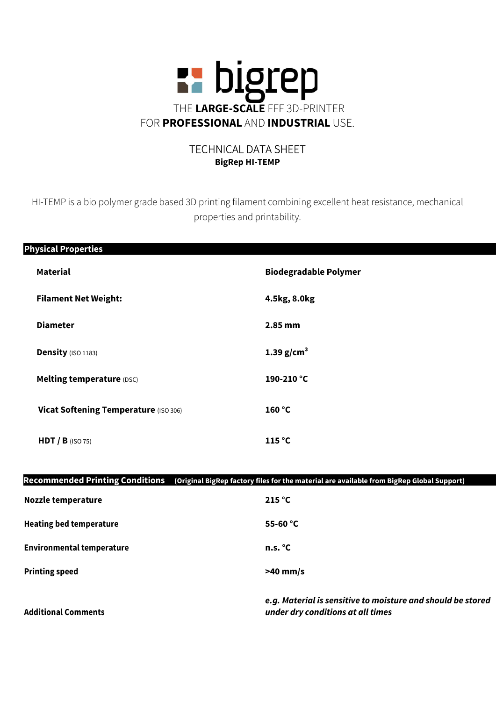

## TECHNICAL DATA SHEET BigRep HI-TEMP

HI-TEMP is a bio polymer grade based 3D printing filament combining excellent heat resistance, mechanical properties and printability.

| <b>Physical Properties</b>            |                              |
|---------------------------------------|------------------------------|
| <b>Material</b>                       | <b>Biodegradable Polymer</b> |
| <b>Filament Net Weight:</b>           | 4.5kg, 8.0kg                 |
| <b>Diameter</b>                       | 2.85 mm                      |
| Density (ISO 1183)                    | 1.39 $g/cm3$                 |
| Melting temperature (DSC)             | 190-210 °C                   |
| Vicat Softening Temperature (ISO 306) | 160 °C                       |
| $HDT / B$ (ISO 75)                    | 115 °C                       |

| <b>Recommended Printing Conditions</b> | (Original BigRep factory files for the material are available from BigRep Global Support)        |  |
|----------------------------------------|--------------------------------------------------------------------------------------------------|--|
| Nozzle temperature                     | 215 °C                                                                                           |  |
| <b>Heating bed temperature</b>         | 55-60 $^{\circ}$ C                                                                               |  |
| <b>Environmental temperature</b>       | n.s. °C                                                                                          |  |
| <b>Printing speed</b>                  | $>40$ mm/s                                                                                       |  |
| <b>Additional Comments</b>             | e.g. Material is sensitive to moisture and should be stored<br>under dry conditions at all times |  |